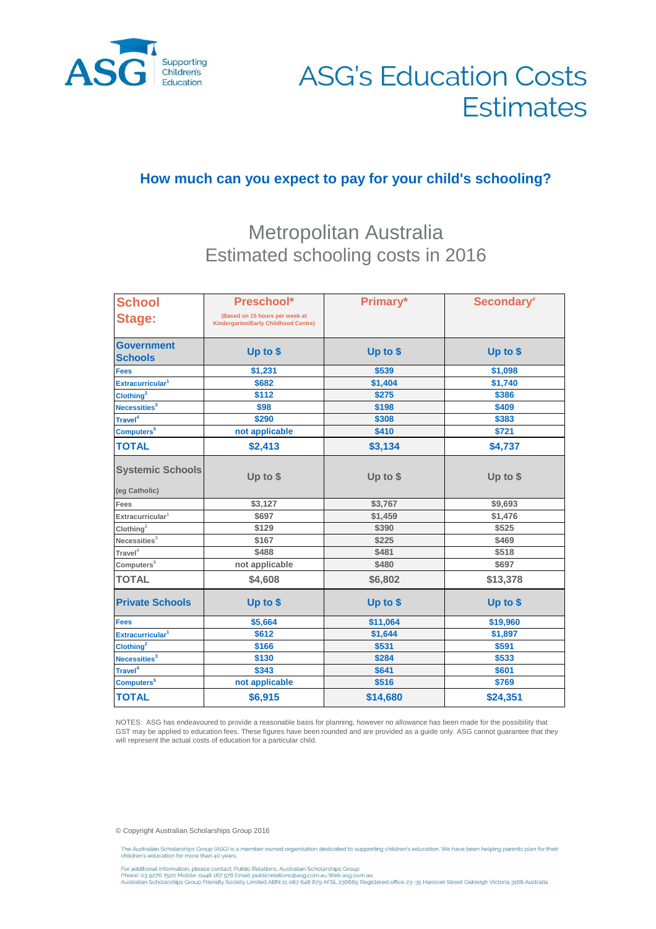

# **ASG's Education Costs Estimates**

### **How much can you expect to pay for your child's schooling?**

## Metropolitan Australia Estimated schooling costs in 2016

| <b>School</b>                            | Preschool*                                                                    | Primary* | Secondary* |
|------------------------------------------|-------------------------------------------------------------------------------|----------|------------|
| <b>Stage:</b>                            | (Based on 15 hours per week at<br><b>Kindergarten/Early Childhood Centre)</b> |          |            |
| <b>Government</b><br><b>Schools</b>      | Up to \$                                                                      | Up to \$ | Up to \$   |
| <b>Fees</b>                              | \$1,231                                                                       | \$539    | \$1,098    |
| Extracurricular <sup>1</sup>             | \$682                                                                         | \$1,404  | \$1,740    |
| Clothing <sup>2</sup>                    | \$112                                                                         | \$275    | \$386      |
| Necessities <sup>3</sup>                 | \$98                                                                          | \$198    | \$409      |
| Travel <sup>4</sup>                      | \$290                                                                         | \$308    | \$383      |
| Computers <sup>5</sup>                   | not applicable                                                                | \$410    | \$721      |
| <b>TOTAL</b>                             | \$2,413                                                                       | \$3,134  | \$4,737    |
| <b>Systemic Schools</b><br>(eg Catholic) | Up to \$                                                                      | Up to \$ | Up to $$$  |
| Fees                                     | \$3,127                                                                       | \$3,767  | \$9,693    |
| Extracurricular <sup>1</sup>             | \$697                                                                         | \$1,459  | \$1,476    |
| Clothing <sup>2</sup>                    | \$129                                                                         | \$390    | \$525      |
| Necessities <sup>3</sup>                 | \$167                                                                         | \$225    | \$469      |
| $\text{Travel}^4$                        | \$488                                                                         | \$481    | \$518      |
| Computers <sup>5</sup>                   | not applicable                                                                | \$480    | \$697      |
| <b>TOTAL</b>                             | \$4,608                                                                       | \$6,802  | \$13,378   |
| <b>Private Schools</b>                   | Up to \$                                                                      | Up to \$ | Up to \$   |
| <b>Fees</b>                              | \$5,664                                                                       | \$11,064 | \$19,960   |
| Extracurricular <sup>1</sup>             | \$612                                                                         | \$1,644  | \$1,897    |
| Clothing <sup>2</sup>                    | \$166                                                                         | \$531    | \$591      |
| Necessities <sup>3</sup>                 | \$130                                                                         | \$284    | \$533      |
| Travel <sup>4</sup>                      | \$343                                                                         | \$641    | \$601      |
| Computers <sup>5</sup>                   | not applicable                                                                | \$516    | \$769      |
| <b>TOTAL</b>                             | \$6,915                                                                       | \$14,680 | \$24,351   |

NOTES: ASG has endeavoured to provide a reasonable basis for planning, however no allowance has been made for the possibility that GST may be applied to education fees. These figures have been rounded and are provided as a guide only. ASG cannot guarantee that they will represent the actual costs of education for a particular child.

© Copyright Australian Scholarships Group 2016

The Australian Scholarships Group (ASG) is a member owned organisation dedicated to supporting children's education. We have been helping parents plan for their<br>children's education for more than 40 years.

For additional information, please contact: Public Relations, Australian Scholarships Group<br>Phone: 03 9276 7520 Mobile: 0448 167 578 Email: publicrelations@asg.com.au Web asg.com.au<br>Australian Scholarships Group Friendly S